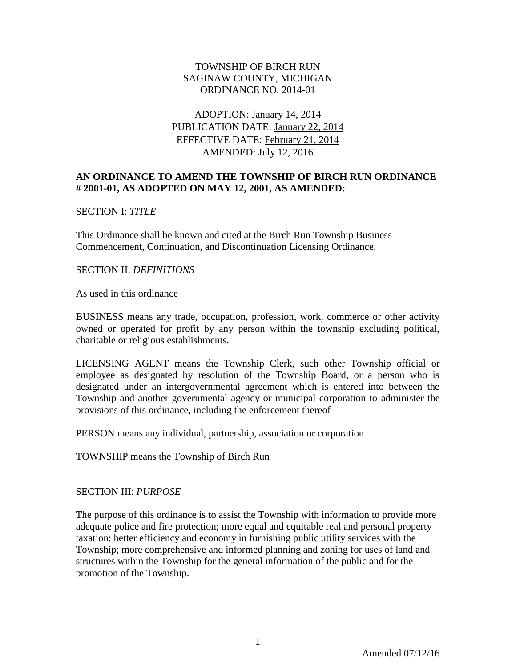### TOWNSHIP OF BIRCH RUN SAGINAW COUNTY, MICHIGAN ORDINANCE NO. 2014-01

## ADOPTION: January 14, 2014 PUBLICATION DATE: January 22, 2014 EFFECTIVE DATE: February 21, 2014 AMENDED: July 12, 2016

### **AN ORDINANCE TO AMEND THE TOWNSHIP OF BIRCH RUN ORDINANCE # 2001-01, AS ADOPTED ON MAY 12, 2001, AS AMENDED:**

### SECTION I: *TITLE*

This Ordinance shall be known and cited at the Birch Run Township Business Commencement, Continuation, and Discontinuation Licensing Ordinance.

#### SECTION II: *DEFINITIONS*

As used in this ordinance

BUSINESS means any trade, occupation, profession, work, commerce or other activity owned or operated for profit by any person within the township excluding political, charitable or religious establishments.

LICENSING AGENT means the Township Clerk, such other Township official or employee as designated by resolution of the Township Board, or a person who is designated under an intergovernmental agreement which is entered into between the Township and another governmental agency or municipal corporation to administer the provisions of this ordinance, including the enforcement thereof

PERSON means any individual, partnership, association or corporation

TOWNSHIP means the Township of Birch Run

### SECTION III: *PURPOSE*

The purpose of this ordinance is to assist the Township with information to provide more adequate police and fire protection; more equal and equitable real and personal property taxation; better efficiency and economy in furnishing public utility services with the Township; more comprehensive and informed planning and zoning for uses of land and structures within the Township for the general information of the public and for the promotion of the Township.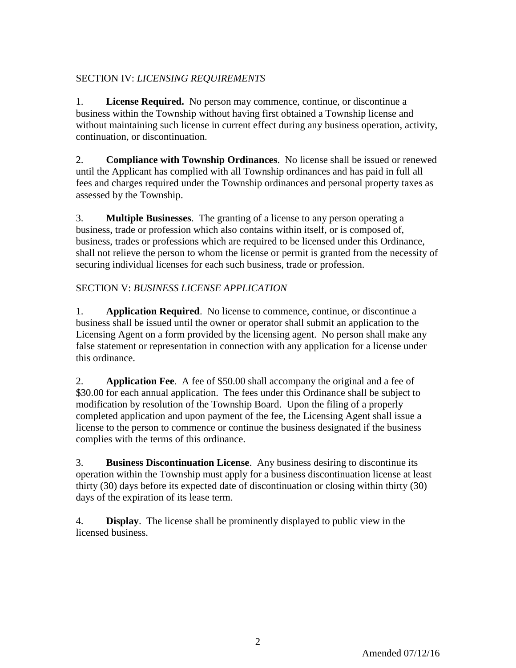# SECTION IV: *LICENSING REQUIREMENTS*

1. **License Required.** No person may commence, continue, or discontinue a business within the Township without having first obtained a Township license and without maintaining such license in current effect during any business operation, activity, continuation, or discontinuation.

2. **Compliance with Township Ordinances**. No license shall be issued or renewed until the Applicant has complied with all Township ordinances and has paid in full all fees and charges required under the Township ordinances and personal property taxes as assessed by the Township.

3. **Multiple Businesses**. The granting of a license to any person operating a business, trade or profession which also contains within itself, or is composed of, business, trades or professions which are required to be licensed under this Ordinance, shall not relieve the person to whom the license or permit is granted from the necessity of securing individual licenses for each such business, trade or profession.

# SECTION V: *BUSINESS LICENSE APPLICATION*

1. **Application Required**. No license to commence, continue, or discontinue a business shall be issued until the owner or operator shall submit an application to the Licensing Agent on a form provided by the licensing agent. No person shall make any false statement or representation in connection with any application for a license under this ordinance.

2. **Application Fee**. A fee of \$50.00 shall accompany the original and a fee of \$30.00 for each annual application. The fees under this Ordinance shall be subject to modification by resolution of the Township Board. Upon the filing of a properly completed application and upon payment of the fee, the Licensing Agent shall issue a license to the person to commence or continue the business designated if the business complies with the terms of this ordinance.

3. **Business Discontinuation License**. Any business desiring to discontinue its operation within the Township must apply for a business discontinuation license at least thirty (30) days before its expected date of discontinuation or closing within thirty (30) days of the expiration of its lease term.

4. **Display**. The license shall be prominently displayed to public view in the licensed business.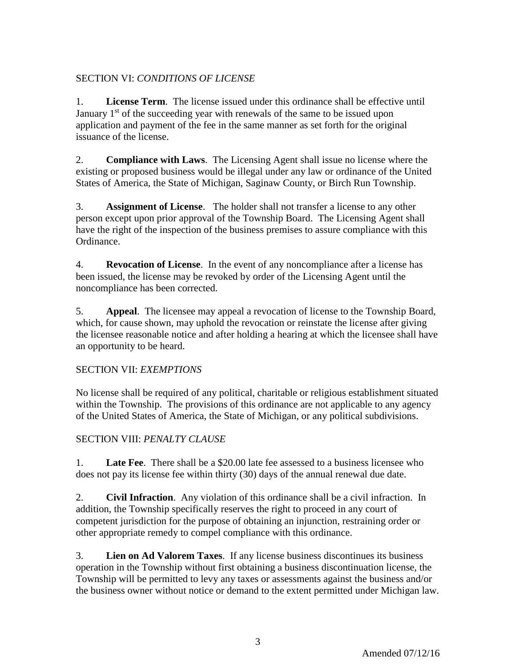## SECTION VI: *CONDITIONS OF LICENSE*

1. **License Term**. The license issued under this ordinance shall be effective until January 1<sup>st</sup> of the succeeding year with renewals of the same to be issued upon application and payment of the fee in the same manner as set forth for the original issuance of the license.

2. **Compliance with Laws**. The Licensing Agent shall issue no license where the existing or proposed business would be illegal under any law or ordinance of the United States of America, the State of Michigan, Saginaw County, or Birch Run Township.

3. **Assignment of License**. The holder shall not transfer a license to any other person except upon prior approval of the Township Board. The Licensing Agent shall have the right of the inspection of the business premises to assure compliance with this Ordinance.

4. **Revocation of License**. In the event of any noncompliance after a license has been issued, the license may be revoked by order of the Licensing Agent until the noncompliance has been corrected.

5. **Appeal**. The licensee may appeal a revocation of license to the Township Board, which, for cause shown, may uphold the revocation or reinstate the license after giving the licensee reasonable notice and after holding a hearing at which the licensee shall have an opportunity to be heard.

### SECTION VII: *EXEMPTIONS*

No license shall be required of any political, charitable or religious establishment situated within the Township. The provisions of this ordinance are not applicable to any agency of the United States of America, the State of Michigan, or any political subdivisions.

# SECTION VIII: *PENALTY CLAUSE*

1. **Late Fee**. There shall be a \$20.00 late fee assessed to a business licensee who does not pay its license fee within thirty (30) days of the annual renewal due date.

2. **Civil Infraction**. Any violation of this ordinance shall be a civil infraction. In addition, the Township specifically reserves the right to proceed in any court of competent jurisdiction for the purpose of obtaining an injunction, restraining order or other appropriate remedy to compel compliance with this ordinance.

3. **Lien on Ad Valorem Taxes**. If any license business discontinues its business operation in the Township without first obtaining a business discontinuation license, the Township will be permitted to levy any taxes or assessments against the business and/or the business owner without notice or demand to the extent permitted under Michigan law.